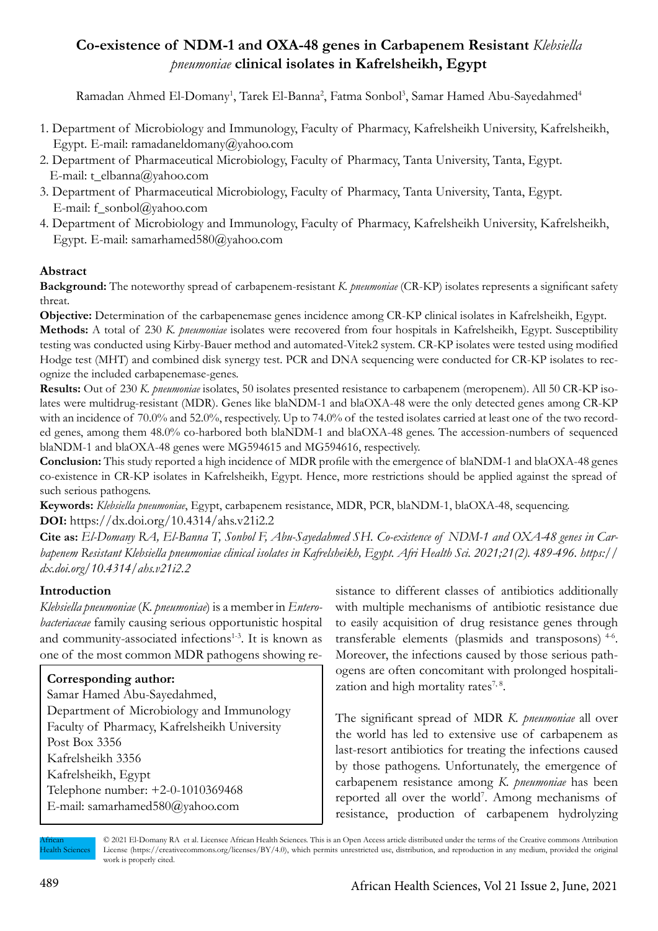# **Co-existence of NDM-1 and OXA-48 genes in Carbapenem Resistant** *Klebsiella pneumoniae* **clinical isolates in Kafrelsheikh, Egypt**

Ramadan Ahmed El-Domany<sup>1</sup>, Tarek El-Banna<sup>2</sup>, Fatma Sonbol<sup>3</sup>, Samar Hamed Abu-Sayedahmed<sup>4</sup>

- 1. Department of Microbiology and Immunology, Faculty of Pharmacy, Kafrelsheikh University, Kafrelsheikh, Egypt. E-mail: ramadaneldomany@yahoo.com
- 2. Department of Pharmaceutical Microbiology, Faculty of Pharmacy, Tanta University, Tanta, Egypt. E-mail: t\_elbanna@yahoo.com
- 3. Department of Pharmaceutical Microbiology, Faculty of Pharmacy, Tanta University, Tanta, Egypt. E-mail: f\_sonbol@yahoo.com
- 4. Department of Microbiology and Immunology, Faculty of Pharmacy, Kafrelsheikh University, Kafrelsheikh, Egypt. E-mail: samarhamed580@yahoo.com

## **Abstract**

**Background:** The noteworthy spread of carbapenem-resistant *K. pneumoniae* (CR-KP) isolates represents a significant safety threat.

**Objective:** Determination of the carbapenemase genes incidence among CR-KP clinical isolates in Kafrelsheikh, Egypt. **Methods:** A total of 230 *K. pneumoniae* isolates were recovered from four hospitals in Kafrelsheikh, Egypt. Susceptibility testing was conducted using Kirby-Bauer method and automated-Vitek2 system. CR-KP isolates were tested using modified Hodge test (MHT) and combined disk synergy test. PCR and DNA sequencing were conducted for CR-KP isolates to recognize the included carbapenemase-genes.

**Results:** Out of 230 *K. pneumoniae* isolates, 50 isolates presented resistance to carbapenem (meropenem). All 50 CR-KP isolates were multidrug-resistant (MDR). Genes like blaNDM-1 and blaOXA-48 were the only detected genes among CR-KP with an incidence of 70.0% and 52.0%, respectively. Up to 74.0% of the tested isolates carried at least one of the two recorded genes, among them 48.0% co-harbored both blaNDM-1 and blaOXA-48 genes. The accession-numbers of sequenced blaNDM-1 and blaOXA-48 genes were MG594615 and MG594616, respectively.

**Conclusion:** This study reported a high incidence of MDR profile with the emergence of blaNDM-1 and blaOXA-48 genes co-existence in CR-KP isolates in Kafrelsheikh, Egypt. Hence, more restrictions should be applied against the spread of such serious pathogens.

**Keywords:** *Klebsiella pneumoniae*, Egypt, carbapenem resistance, MDR, PCR, blaNDM-1, blaOXA-48, sequencing. **DOI:** https://dx.doi.org/10.4314/ahs.v21i2.2

**Cite as:** *El-Domany RA, El-Banna T, Sonbol F, Abu-Sayedahmed SH. Co-existence of NDM-1 and OXA-48 genes in Carbapenem Resistant Klebsiella pneumoniae clinical isolates in Kafrelsheikh, Egypt. Afri Health Sci. 2021;21(2). 489-496. https:// dx.doi.org/10.4314/ahs.v21i2.2*

### **Introduction**

*Klebsiella pneumoniae* (*K. pneumoniae*) is a member in *Enterobacteriaceae* family causing serious opportunistic hospital and community-associated infections<sup>1-3</sup>. It is known as one of the most common MDR pathogens showing re-

# **Corresponding author:** Samar Hamed Abu-Sayedahmed, Department of Microbiology and Immunology Faculty of Pharmacy, Kafrelsheikh University Post Box 3356 Kafrelsheikh 3356 Kafrelsheikh, Egypt Telephone number: +2-0-1010369468 E-mail: samarhamed580@yahoo.com

sistance to different classes of antibiotics additionally with multiple mechanisms of antibiotic resistance due to easily acquisition of drug resistance genes through transferable elements (plasmids and transposons) 4-6. Moreover, the infections caused by those serious pathogens are often concomitant with prolonged hospitalization and high mortality rates $^{7,8}$ .

The significant spread of MDR *K. pneumoniae* all over the world has led to extensive use of carbapenem as last-resort antibiotics for treating the infections caused by those pathogens. Unfortunately, the emergence of carbapenem resistance among *K. pneumoniae* has been reported all over the world<sup>7</sup>. Among mechanisms of resistance, production of carbapenem hydrolyzing

African **Iealth Sciences**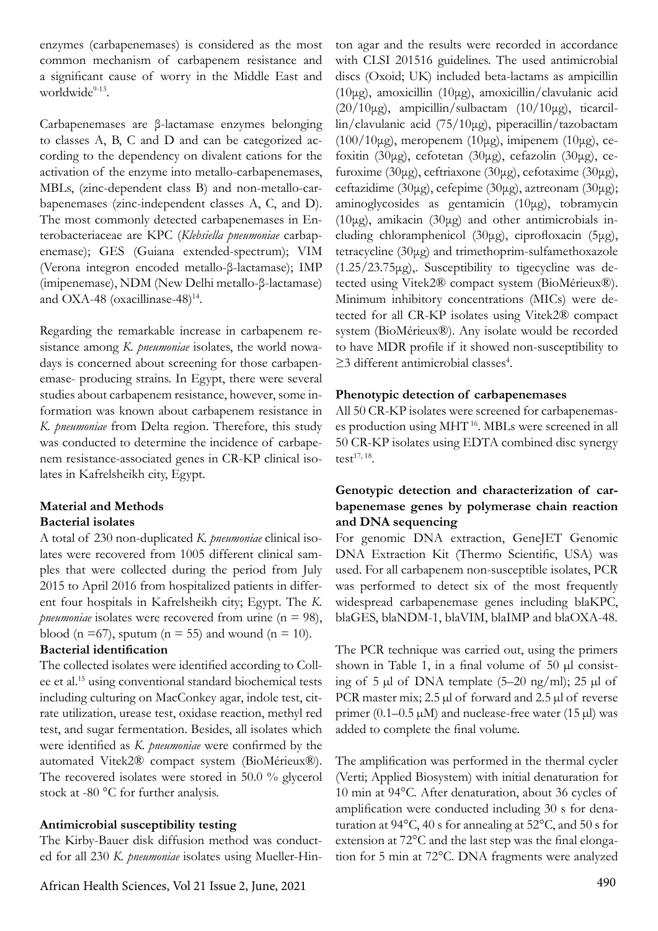enzymes (carbapenemases) is considered as the most common mechanism of carbapenem resistance and a significant cause of worry in the Middle East and worldwide9-13.

Carbapenemases are β-lactamase enzymes belonging to classes A, B, C and D and can be categorized according to the dependency on divalent cations for the activation of the enzyme into metallo-carbapenemases, MBLs, (zinc-dependent class B) and non-metallo-carbapenemases (zinc-independent classes A, C, and D). The most commonly detected carbapenemases in Enterobacteriaceae are KPC (*Klebsiella pneumoniae* carbapenemase); GES (Guiana extended-spectrum); VIM (Verona integron encoded metallo-β-lactamase); IMP (imipenemase), NDM (New Delhi metallo-β-lactamase) and OXA-48 (oxacillinase-48) $14$ .

Regarding the remarkable increase in carbapenem resistance among *K. pneumoniae* isolates, the world nowadays is concerned about screening for those carbapenemase- producing strains. In Egypt, there were several studies about carbapenem resistance, however, some information was known about carbapenem resistance in *K. pneumoniae* from Delta region. Therefore, this study was conducted to determine the incidence of carbapenem resistance-associated genes in CR-KP clinical isolates in Kafrelsheikh city, Egypt.

### **Material and Methods Bacterial isolates**

A total of 230 non-duplicated *K. pneumoniae* clinical isolates were recovered from 1005 different clinical samples that were collected during the period from July 2015 to April 2016 from hospitalized patients in different four hospitals in Kafrelsheikh city; Egypt. The *K. pneumoniae* isolates were recovered from urine (n = 98), blood (n = 67), sputum (n = 55) and wound (n = 10).

### **Bacterial identification**

The collected isolates were identified according to Collee et al.15 using conventional standard biochemical tests including culturing on MacConkey agar, indole test, citrate utilization, urease test, oxidase reaction, methyl red test, and sugar fermentation. Besides, all isolates which were identified as *K. pneumoniae* were confirmed by the automated Vitek2® compact system (BioMérieux®). The recovered isolates were stored in 50.0 % glycerol stock at -80 °C for further analysis.

### **Antimicrobial susceptibility testing**

The Kirby-Bauer disk diffusion method was conducted for all 230 *K. pneumoniae* isolates using Mueller-Hin-

African Health Sciences, Vol 21 Issue 2, June, 2021 490

ton agar and the results were recorded in accordance with CLSI 201516 guidelines. The used antimicrobial discs (Oxoid; UK) included beta-lactams as ampicillin (10μg), amoxicillin (10μg), amoxicillin/clavulanic acid ( $20/10\mu$ g), ampicillin/sulbactam ( $10/10\mu$ g), ticarcillin/clavulanic acid (75/10μg), piperacillin/tazobactam (100/10μg), meropenem (10μg), imipenem (10μg), cefoxitin (30μg), cefotetan (30μg), cefazolin (30μg), cefuroxime (30μg), ceftriaxone (30μg), cefotaxime (30μg), ceftazidime (30μg), cefepime (30μg), aztreonam (30μg); aminoglycosides as gentamicin (10μg), tobramycin (10μg), amikacin (30μg) and other antimicrobials including chloramphenicol (30μg), ciprofloxacin (5μg), tetracycline (30μg) and trimethoprim-sulfamethoxazole (1.25/23.75μg),. Susceptibility to tigecycline was detected using Vitek2® compact system (BioMérieux®). Minimum inhibitory concentrations (MICs) were detected for all CR-KP isolates using Vitek2® compact system (BioMérieux®). Any isolate would be recorded to have MDR profile if it showed non-susceptibility to ≥3 different antimicrobial classes<sup>4</sup>.

### **Phenotypic detection of carbapenemases**

All 50 CR-KP isolates were screened for carbapenemases production using MHT 16. MBLs were screened in all 50 CR-KP isolates using EDTA combined disc synergy test $17, 18$ .

### **Genotypic detection and characterization of carbapenemase genes by polymerase chain reaction and DNA sequencing**

For genomic DNA extraction, GeneJET Genomic DNA Extraction Kit (Thermo Scientific, USA) was used. For all carbapenem non-susceptible isolates, PCR was performed to detect six of the most frequently widespread carbapenemase genes including blaKPC, blaGES, blaNDM-1, blaVIM, blaIMP and blaOXA-48.

The PCR technique was carried out, using the primers shown in Table 1, in a final volume of  $50 \mu l$  consisting of 5 µl of DNA template (5–20 ng/ml); 25 µl of PCR master mix; 2.5 µl of forward and 2.5 µl of reverse primer  $(0.1-0.5 \mu M)$  and nuclease-free water  $(15 \mu I)$  was added to complete the final volume.

The amplification was performed in the thermal cycler (Verti; Applied Biosystem) with initial denaturation for 10 min at 94°C. After denaturation, about 36 cycles of amplification were conducted including 30 s for denaturation at 94°C, 40 s for annealing at 52°C, and 50 s for extension at 72°C and the last step was the final elongation for 5 min at 72°C. DNA fragments were analyzed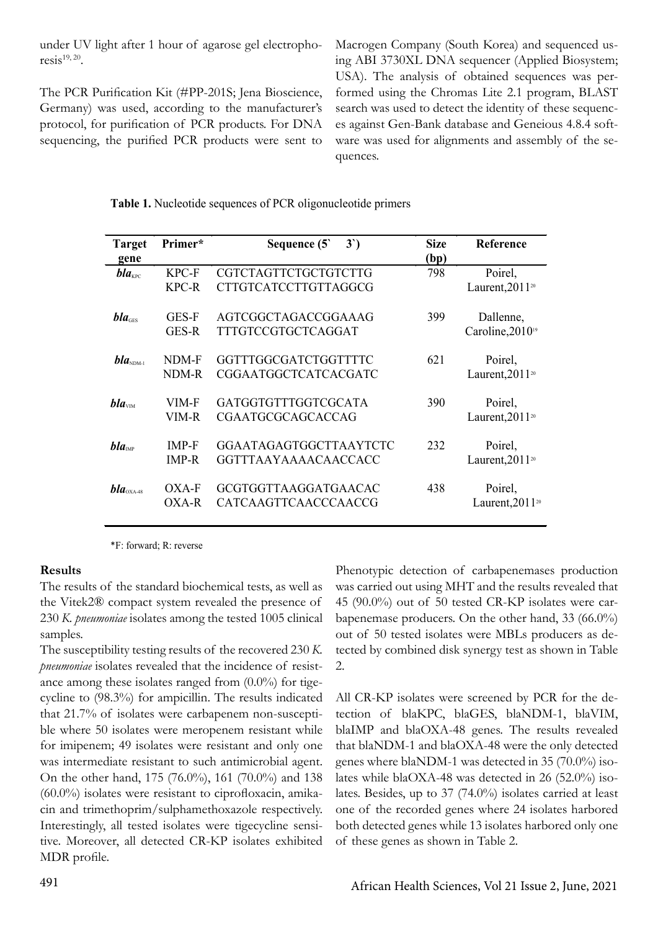under UV light after 1 hour of agarose gel electrophoresis<sup>19, 20</sup>.

The PCR Purification Kit (#PP-201S; Jena Bioscience, Germany) was used, according to the manufacturer's protocol, for purification of PCR products. For DNA sequencing, the purified PCR products were sent to

Macrogen Company (South Korea) and sequenced using ABI 3730XL DNA sequencer (Applied Biosystem; USA). The analysis of obtained sequences was performed using the Chromas Lite 2.1 program, BLAST search was used to detect the identity of these sequences against Gen-Bank database and Geneious 4.8.4 software was used for alignments and assembly of the sequences.

| <b>Target</b>      | Primer*                      | Sequence $(5)$<br>3')                            | <b>Size</b> | Reference                                 |
|--------------------|------------------------------|--------------------------------------------------|-------------|-------------------------------------------|
| gene               |                              |                                                  | (bp)        |                                           |
| $bla_{\text{KPC}}$ | KPC-F                        | CGTCTAGTTCTGCTGTCTTG                             | 798         | Poirel,                                   |
|                    | KPC-R                        | CTTGTCATCCTTGTTAGGCG                             |             | Laurent, 2011 <sup>20</sup>               |
| $bla_{\text{GES}}$ | GES-F<br>GES-R               | AGTCGGCTAGACCGGAAAG<br><b>TTTGTCCGTGCTCAGGAT</b> | 399         | Dallenne,<br>Caroline, 2010 <sup>19</sup> |
| $bla_{NDM-1}$      | NDM-F<br>NDM-R               | GGTTTGGCGATCTGGTTTTC<br>CGGAATGGCTCATCACGATC     | 621         | Poirel,<br>Laurent, 2011 <sup>20</sup>    |
| bla <sub>VM</sub>  | VIM-F<br>VIM-R               | GATGGTGTTTGGTCGCATA<br><b>CGAATGCGCAGCACCAG</b>  | 390         | Poirel,<br>Laurent, 2011 <sup>20</sup>    |
| $bla_{\text{MP}}$  | <b>IMP-F</b><br><b>IMP-R</b> | GGAATAGAGTGGCTTAAYTCTC<br>GGTTTAAYAAAACAACCACC   | 232         | Poirel,<br>Laurent, 2011 <sup>20</sup>    |
| $bla_{\rm OXA-48}$ | OXA-F<br>OXA-R               | GCGTGGTTAAGGATGAACAC<br>CATCAAGTTCAACCCAACCG     | 438         | Poirel,<br>Laurent, $2011^{20}$           |

|  | Table 1. Nucleotide sequences of PCR oligonucleotide primers |  |  |  |
|--|--------------------------------------------------------------|--|--|--|
|  |                                                              |  |  |  |

\*F: forward; R: reverse

#### **Results**

The results of the standard biochemical tests, as well as the Vitek2® compact system revealed the presence of 230 *K. pneumoniae* isolates among the tested 1005 clinical samples.

The susceptibility testing results of the recovered 230 *K. pneumoniae* isolates revealed that the incidence of resistance among these isolates ranged from (0.0%) for tigecycline to (98.3%) for ampicillin. The results indicated that 21.7% of isolates were carbapenem non-susceptible where 50 isolates were meropenem resistant while for imipenem; 49 isolates were resistant and only one was intermediate resistant to such antimicrobial agent. On the other hand, 175 (76.0%), 161 (70.0%) and 138 (60.0%) isolates were resistant to ciprofloxacin, amikacin and trimethoprim/sulphamethoxazole respectively. Interestingly, all tested isolates were tigecycline sensitive. Moreover, all detected CR-KP isolates exhibited MDR profile.

Phenotypic detection of carbapenemases production was carried out using MHT and the results revealed that 45 (90.0%) out of 50 tested CR-KP isolates were carbapenemase producers. On the other hand, 33 (66.0%) out of 50 tested isolates were MBLs producers as detected by combined disk synergy test as shown in Table 2.

All CR-KP isolates were screened by PCR for the detection of blaKPC, blaGES, blaNDM-1, blaVIM, blaIMP and blaOXA-48 genes. The results revealed that blaNDM-1 and blaOXA-48 were the only detected genes where blaNDM-1 was detected in 35 (70.0%) isolates while blaOXA-48 was detected in 26 (52.0%) isolates. Besides, up to 37 (74.0%) isolates carried at least one of the recorded genes where 24 isolates harbored both detected genes while 13 isolates harbored only one of these genes as shown in Table 2.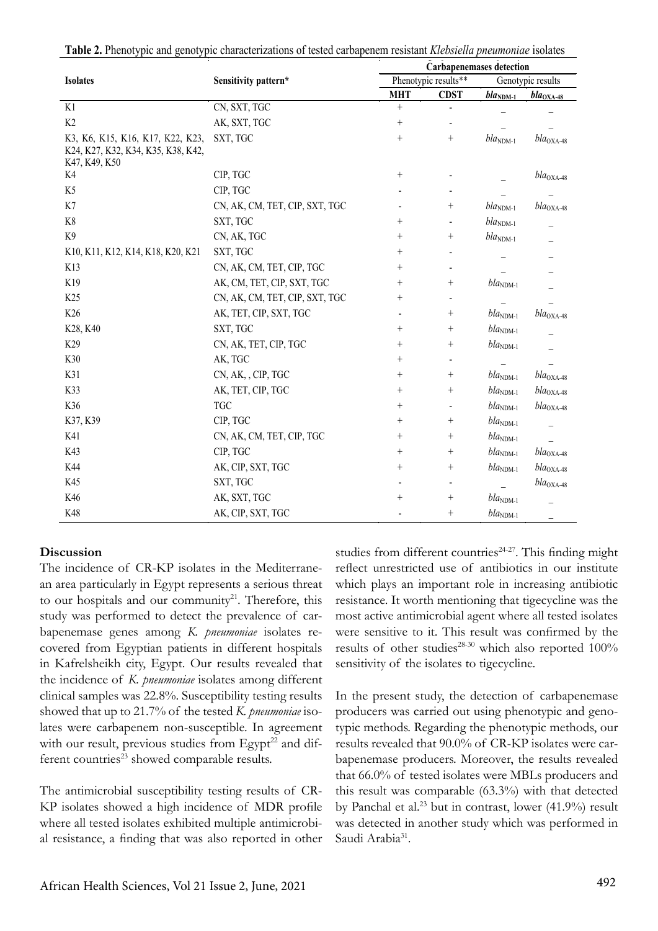|  |  |  |  |  |  |  |  | Table 2. Phenotypic and genotypic characterizations of tested carbapenem resistant Klebsiella pneumoniae isolates |
|--|--|--|--|--|--|--|--|-------------------------------------------------------------------------------------------------------------------|
|--|--|--|--|--|--|--|--|-------------------------------------------------------------------------------------------------------------------|

|                                    |                                | <b>Carbapenemases detection</b> |                 |                          |                           |  |
|------------------------------------|--------------------------------|---------------------------------|-----------------|--------------------------|---------------------------|--|
| <b>Isolates</b>                    | Sensitivity pattern*           | Phenotypic results**            |                 | Genotypic results        |                           |  |
|                                    |                                | <b>MHT</b>                      | <b>CDST</b>     | $blaNDM-1$               | $bla_{\rm OXA-48}$        |  |
| K1                                 | CN, SXT, TGC                   | $\! +$                          |                 |                          |                           |  |
| K2                                 | AK, SXT, TGC                   |                                 |                 |                          |                           |  |
| K3, K6, K15, K16, K17, K22, K23,   | SXT, TGC                       | $^{+}$                          | $+$             | $bla_{\text{NDM-1}}$     | $bla_{\rm OXA\text{-}48}$ |  |
| K24, K27, K32, K34, K35, K38, K42, |                                |                                 |                 |                          |                           |  |
| K47, K49, K50                      |                                |                                 |                 |                          |                           |  |
| K4                                 | CIP, TGC                       |                                 |                 |                          | $bla_{\rm OXA\text{-}48}$ |  |
| K <sub>5</sub>                     | CIP, TGC                       |                                 |                 |                          |                           |  |
| K7                                 | CN, AK, CM, TET, CIP, SXT, TGC |                                 |                 | $bla_{\rm NDM\text{-}1}$ | $bla_{\rm OXA-48}$        |  |
| K8                                 | SXT, TGC                       | $^{+}$                          | $\blacksquare$  | $bla_{\rm NDM\text{-}1}$ |                           |  |
| K9                                 | CN, AK, TGC                    | $^{+}$                          |                 | $bla_{\rm NDM\text{-}1}$ |                           |  |
| K10, K11, K12, K14, K18, K20, K21  | SXT, TGC                       | $^{+}$                          |                 |                          |                           |  |
| K13                                | CN, AK, CM, TET, CIP, TGC      | $^{+}$                          |                 |                          |                           |  |
| K19                                | AK, CM, TET, CIP, SXT, TGC     | $^{+}$                          | $\! + \!$       | $bla_{\rm NDM\text{-}1}$ |                           |  |
| K25                                | CN, AK, CM, TET, CIP, SXT, TGC | $^{+}$                          |                 |                          |                           |  |
| K26                                | AK, TET, CIP, SXT, TGC         |                                 |                 | $bla_{NDM-1}$            | $bla_{\rm OXA\text{-}48}$ |  |
| K28, K40                           | SXT, TGC                       | $^{+}$                          | $\! + \!$       | $blaNDM-1$               |                           |  |
| K29                                | CN, AK, TET, CIP, TGC          | $^{+}$                          | $\! + \!$       | $bla_{\rm NDM\text{-}1}$ |                           |  |
| K30                                | AK, TGC                        | $^{+}$                          |                 |                          |                           |  |
| K31                                | CN, AK, , CIP, TGC             | $^{+}$                          |                 | $bla_{\text{NDM-1}}$     | $bla_{\rm OXA\text{-}48}$ |  |
| K33                                | AK, TET, CIP, TGC              | $^{+}$                          | $^{+}$          | $bla_{NDM-1}$            | $bla_{\rm OXA-48}$        |  |
| K36                                | <b>TGC</b>                     | $^{+}$                          | $\blacksquare$  | $bla_{NDM-1}$            | $bla_{\rm OXA-48}$        |  |
| K37, K39                           | CIP, TGC                       | $^{+}$                          | $+$             | $bla_{NDM-1}$            |                           |  |
| K41                                | CN, AK, CM, TET, CIP, TGC      | $^{+}$                          | $+$             | $bla_{NDM-1}$            |                           |  |
| K43                                | CIP, TGC                       | $^{+}$                          |                 | $bla_{NDM-1}$            | $bla_{\rm OXA-48}$        |  |
| K44                                | AK, CIP, SXT, TGC              | $^{+}$                          | $\! + \!$       | $bla_{\text{NDM-1}}$     | $bla_{\rm OXA-48}$        |  |
| K45                                | SXT, TGC                       |                                 |                 |                          | $bla_{\rm OXA\text{-}48}$ |  |
| K46                                | AK, SXT, TGC                   | $^{+}$                          | $\! + \!\!\!\!$ | $bla_{\text{NDM-1}}$     |                           |  |
| K48                                | AK, CIP, SXT, TGC              |                                 |                 | $bla_{\text{NDM-1}}$     |                           |  |

#### **Discussion**

The incidence of CR-KP isolates in the Mediterranean area particularly in Egypt represents a serious threat to our hospitals and our community<sup>21</sup>. Therefore, this study was performed to detect the prevalence of carbapenemase genes among *K. pneumoniae* isolates recovered from Egyptian patients in different hospitals in Kafrelsheikh city, Egypt. Our results revealed that the incidence of *K. pneumoniae* isolates among different clinical samples was 22.8%. Susceptibility testing results showed that up to 21.7% of the tested *K. pneumoniae* isolates were carbapenem non-susceptible. In agreement with our result, previous studies from Egypt<sup>22</sup> and different countries<sup>23</sup> showed comparable results.

The antimicrobial susceptibility testing results of CR-KP isolates showed a high incidence of MDR profile where all tested isolates exhibited multiple antimicrobial resistance, a finding that was also reported in other studies from different countries $24-27$ . This finding might reflect unrestricted use of antibiotics in our institute which plays an important role in increasing antibiotic resistance. It worth mentioning that tigecycline was the most active antimicrobial agent where all tested isolates were sensitive to it. This result was confirmed by the results of other studies<sup>28-30</sup> which also reported  $100\%$ sensitivity of the isolates to tigecycline.

In the present study, the detection of carbapenemase producers was carried out using phenotypic and genotypic methods. Regarding the phenotypic methods, our results revealed that 90.0% of CR-KP isolates were carbapenemase producers. Moreover, the results revealed that 66.0% of tested isolates were MBLs producers and this result was comparable (63.3%) with that detected by Panchal et al.<sup>23</sup> but in contrast, lower (41.9%) result was detected in another study which was performed in Saudi Arabia<sup>31</sup>.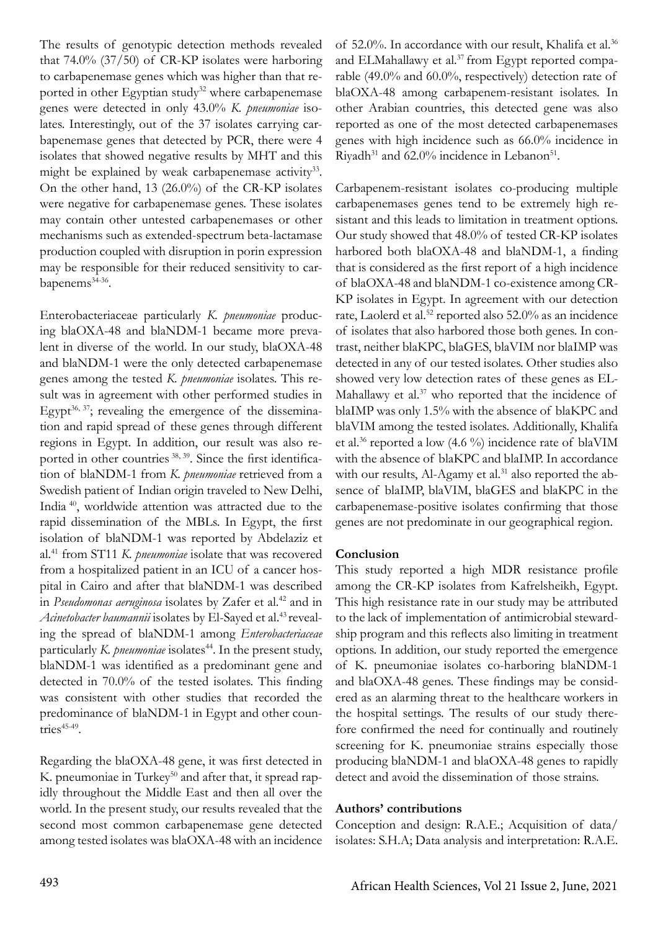The results of genotypic detection methods revealed that 74.0% (37/50) of CR-KP isolates were harboring to carbapenemase genes which was higher than that reported in other Egyptian study<sup>32</sup> where carbapenemase genes were detected in only 43.0% *K. pneumoniae* isolates. Interestingly, out of the 37 isolates carrying carbapenemase genes that detected by PCR, there were 4 isolates that showed negative results by MHT and this might be explained by weak carbapenemase activity<sup>33</sup>. On the other hand, 13 (26.0%) of the CR-KP isolates were negative for carbapenemase genes. These isolates may contain other untested carbapenemases or other mechanisms such as extended-spectrum beta-lactamase production coupled with disruption in porin expression may be responsible for their reduced sensitivity to carbapenems<sup>34-36</sup>.

Enterobacteriaceae particularly *K. pneumoniae* producing blaOXA-48 and blaNDM-1 became more prevalent in diverse of the world. In our study, blaOXA-48 and blaNDM-1 were the only detected carbapenemase genes among the tested *K. pneumoniae* isolates. This result was in agreement with other performed studies in Egypt<sup>36, 37</sup>; revealing the emergence of the dissemination and rapid spread of these genes through different regions in Egypt. In addition, our result was also reported in other countries <sup>38, 39</sup>. Since the first identification of blaNDM-1 from *K. pneumoniae* retrieved from a Swedish patient of Indian origin traveled to New Delhi, India 40, worldwide attention was attracted due to the rapid dissemination of the MBLs. In Egypt, the first isolation of blaNDM-1 was reported by Abdelaziz et al.41 from ST11 *K. pneumoniae* isolate that was recovered from a hospitalized patient in an ICU of a cancer hospital in Cairo and after that blaNDM-1 was described in *Pseudomonas aeruginosa* isolates by Zafer et al.<sup>42</sup> and in Acinetobacter baumannii isolates by El-Sayed et al.<sup>43</sup> revealing the spread of blaNDM-1 among *Enterobacteriaceae* particularly *K. pneumoniae* isolates<sup>44</sup>. In the present study, blaNDM-1 was identified as a predominant gene and detected in 70.0% of the tested isolates. This finding was consistent with other studies that recorded the predominance of blaNDM-1 in Egypt and other countries $45-49$ .

Regarding the blaOXA-48 gene, it was first detected in K. pneumoniae in Turkey<sup>50</sup> and after that, it spread rapidly throughout the Middle East and then all over the world. In the present study, our results revealed that the second most common carbapenemase gene detected among tested isolates was blaOXA-48 with an incidence

of 52.0%. In accordance with our result, Khalifa et al.<sup>36</sup> and ELMahallawy et al.<sup>37</sup> from Egypt reported comparable (49.0% and 60.0%, respectively) detection rate of blaOXA-48 among carbapenem-resistant isolates. In other Arabian countries, this detected gene was also reported as one of the most detected carbapenemases genes with high incidence such as 66.0% incidence in Riyadh $31$  and 62.0% incidence in Lebanon $51$ .

Carbapenem-resistant isolates co-producing multiple carbapenemases genes tend to be extremely high resistant and this leads to limitation in treatment options. Our study showed that 48.0% of tested CR-KP isolates harbored both blaOXA-48 and blaNDM-1, a finding that is considered as the first report of a high incidence of blaOXA-48 and blaNDM-1 co-existence among CR-KP isolates in Egypt. In agreement with our detection rate, Laolerd et al.<sup>52</sup> reported also 52.0% as an incidence of isolates that also harbored those both genes. In contrast, neither blaKPC, blaGES, blaVIM nor blaIMP was detected in any of our tested isolates. Other studies also showed very low detection rates of these genes as EL-Mahallawy et al.<sup>37</sup> who reported that the incidence of blaIMP was only 1.5% with the absence of blaKPC and blaVIM among the tested isolates. Additionally, Khalifa et al.<sup>36</sup> reported a low  $(4.6\%)$  incidence rate of blaVIM with the absence of blaKPC and blaIMP. In accordance with our results, Al-Agamy et al.<sup>31</sup> also reported the absence of blaIMP, blaVIM, blaGES and blaKPC in the carbapenemase-positive isolates confirming that those genes are not predominate in our geographical region.

#### **Conclusion**

This study reported a high MDR resistance profile among the CR-KP isolates from Kafrelsheikh, Egypt. This high resistance rate in our study may be attributed to the lack of implementation of antimicrobial stewardship program and this reflects also limiting in treatment options. In addition, our study reported the emergence of K. pneumoniae isolates co-harboring blaNDM-1 and blaOXA-48 genes. These findings may be considered as an alarming threat to the healthcare workers in the hospital settings. The results of our study therefore confirmed the need for continually and routinely screening for K. pneumoniae strains especially those producing blaNDM-1 and blaOXA-48 genes to rapidly detect and avoid the dissemination of those strains.

#### **Authors' contributions**

Conception and design: R.A.E.; Acquisition of data/ isolates: S.H.A; Data analysis and interpretation: R.A.E.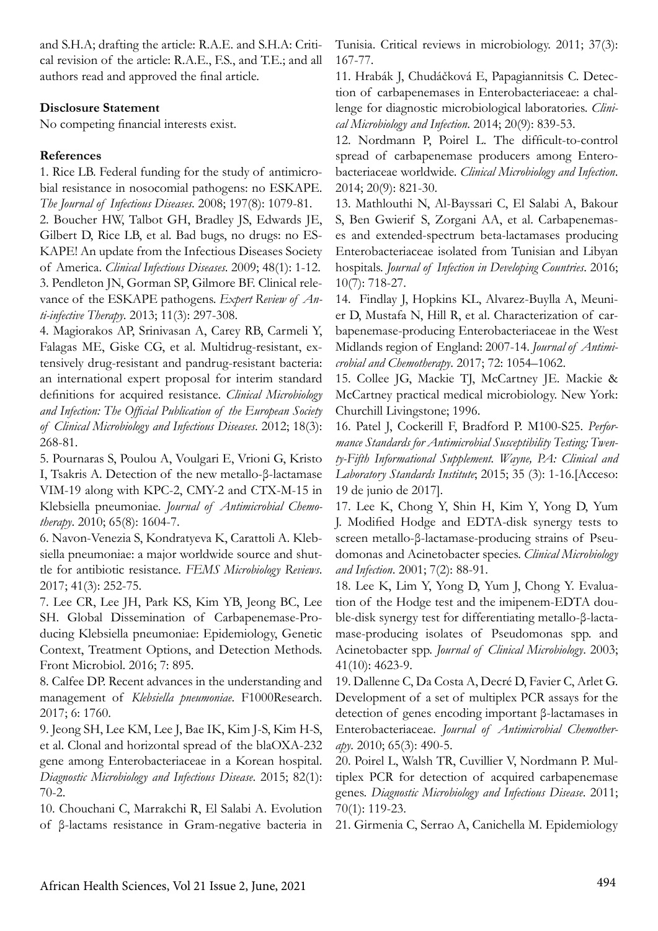and S.H.A; drafting the article: R.A.E. and S.H.A: Critical revision of the article: R.A.E., F.S., and T.E.; and all authors read and approved the final article.

### **Disclosure Statement**

No competing financial interests exist.

### **References**

1. Rice LB. Federal funding for the study of antimicrobial resistance in nosocomial pathogens: no ESKAPE. *The Journal of Infectious Diseases*. 2008; 197(8): 1079-81.

2. Boucher HW, Talbot GH, Bradley JS, Edwards JE, Gilbert D, Rice LB, et al. Bad bugs, no drugs: no ES-KAPE! An update from the Infectious Diseases Society of America. *Clinical Infectious Diseases*. 2009; 48(1): 1-12. 3. Pendleton JN, Gorman SP, Gilmore BF. Clinical relevance of the ESKAPE pathogens. *Expert Review of Anti-infective Therapy*. 2013; 11(3): 297-308.

4. Magiorakos AP, Srinivasan A, Carey RB, Carmeli Y, Falagas ME, Giske CG, et al. Multidrug-resistant, extensively drug-resistant and pandrug-resistant bacteria: an international expert proposal for interim standard definitions for acquired resistance. *Clinical Microbiology and Infection: The Official Publication of the European Society of Clinical Microbiology and Infectious Diseases*. 2012; 18(3): 268-81.

5. Pournaras S, Poulou A, Voulgari E, Vrioni G, Kristo I, Tsakris A. Detection of the new metallo-β-lactamase VIM-19 along with KPC-2, CMY-2 and CTX-M-15 in Klebsiella pneumoniae. *Journal of Antimicrobial Chemotherapy*. 2010; 65(8): 1604-7.

6. Navon-Venezia S, Kondratyeva K, Carattoli A. Klebsiella pneumoniae: a major worldwide source and shuttle for antibiotic resistance. *FEMS Microbiology Reviews*. 2017; 41(3): 252-75.

7. Lee CR, Lee JH, Park KS, Kim YB, Jeong BC, Lee SH. Global Dissemination of Carbapenemase-Producing Klebsiella pneumoniae: Epidemiology, Genetic Context, Treatment Options, and Detection Methods. Front Microbiol. 2016; 7: 895.

8. Calfee DP. Recent advances in the understanding and management of *Klebsiella pneumoniae*. F1000Research. 2017; 6: 1760.

9. Jeong SH, Lee KM, Lee J, Bae IK, Kim J-S, Kim H-S, et al. Clonal and horizontal spread of the blaOXA-232 gene among Enterobacteriaceae in a Korean hospital. *Diagnostic Microbiology and Infectious Disease*. 2015; 82(1): 70-2.

10. Chouchani C, Marrakchi R, El Salabi A. Evolution of β-lactams resistance in Gram-negative bacteria in Tunisia. Critical reviews in microbiology. 2011; 37(3): 167-77.

11. Hrabák J, Chudáčková E, Papagiannitsis C. Detection of carbapenemases in Enterobacteriaceae: a challenge for diagnostic microbiological laboratories. *Clinical Microbiology and Infection*. 2014; 20(9): 839-53.

12. Nordmann P, Poirel L. The difficult-to-control spread of carbapenemase producers among Enterobacteriaceae worldwide. *Clinical Microbiology and Infection*. 2014; 20(9): 821-30.

13. Mathlouthi N, Al-Bayssari C, El Salabi A, Bakour S, Ben Gwierif S, Zorgani AA, et al. Carbapenemases and extended-spectrum beta-lactamases producing Enterobacteriaceae isolated from Tunisian and Libyan hospitals. *Journal of Infection in Developing Countries*. 2016; 10(7): 718-27.

14. Findlay J, Hopkins KL, Alvarez-Buylla A, Meunier D, Mustafa N, Hill R, et al. Characterization of carbapenemase-producing Enterobacteriaceae in the West Midlands region of England: 2007-14. *Journal of Antimicrobial and Chemotherapy*. 2017; 72: 1054–1062.

15. Collee JG, Mackie TJ, McCartney JE. Mackie & McCartney practical medical microbiology. New York: Churchill Livingstone; 1996.

16. Patel J, Cockerill F, Bradford P. M100-S25. *Performance Standards for Antimicrobial Susceptibility Testing; Twenty-Fifth Informational Supplement. Wayne, PA: Clinical and Laboratory Standards Institute*; 2015; 35 (3): 1-16.[Acceso: 19 de junio de 2017].

17. Lee K, Chong Y, Shin H, Kim Y, Yong D, Yum J. Modified Hodge and EDTA-disk synergy tests to screen metallo-β-lactamase-producing strains of Pseudomonas and Acinetobacter species. *Clinical Microbiology and Infection*. 2001; 7(2): 88-91.

18. Lee K, Lim Y, Yong D, Yum J, Chong Y. Evaluation of the Hodge test and the imipenem-EDTA double-disk synergy test for differentiating metallo-β-lactamase-producing isolates of Pseudomonas spp. and Acinetobacter spp. *Journal of Clinical Microbiology*. 2003; 41(10): 4623-9.

19. Dallenne C, Da Costa A, Decré D, Favier C, Arlet G. Development of a set of multiplex PCR assays for the detection of genes encoding important β-lactamases in Enterobacteriaceae. *Journal of Antimicrobial Chemotherapy*. 2010; 65(3): 490-5.

20. Poirel L, Walsh TR, Cuvillier V, Nordmann P. Multiplex PCR for detection of acquired carbapenemase genes. *Diagnostic Microbiology and Infectious Disease*. 2011; 70(1): 119-23.

21. Girmenia C, Serrao A, Canichella M. Epidemiology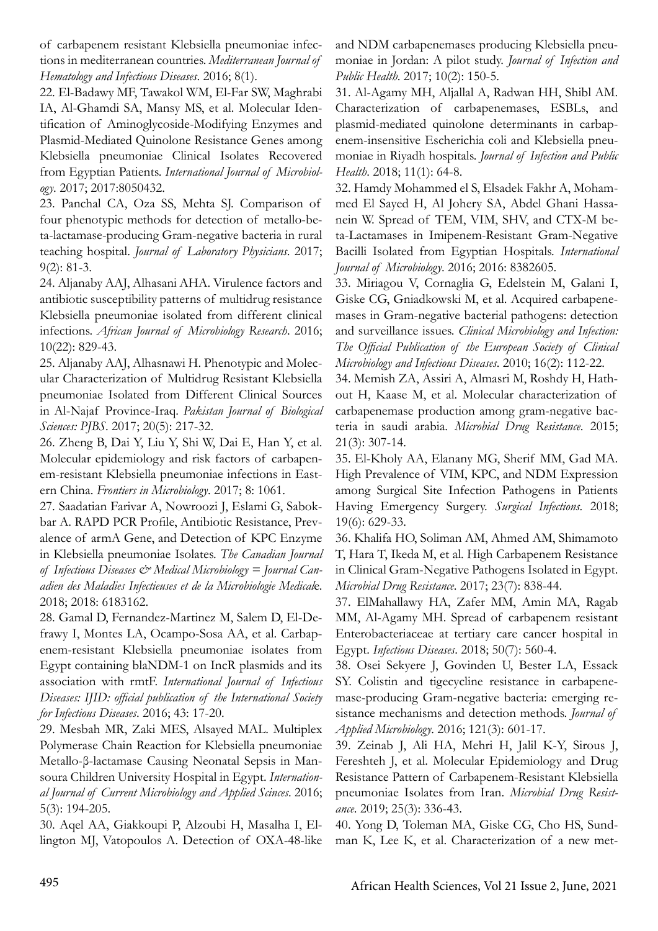of carbapenem resistant Klebsiella pneumoniae infections in mediterranean countries. *Mediterranean Journal of Hematology and Infectious Diseases*. 2016; 8(1).

22. El-Badawy MF, Tawakol WM, El-Far SW, Maghrabi IA, Al-Ghamdi SA, Mansy MS, et al. Molecular Identification of Aminoglycoside-Modifying Enzymes and Plasmid-Mediated Quinolone Resistance Genes among Klebsiella pneumoniae Clinical Isolates Recovered from Egyptian Patients. *International Journal of Microbiology*. 2017; 2017:8050432.

23. Panchal CA, Oza SS, Mehta SJ. Comparison of four phenotypic methods for detection of metallo-beta-lactamase-producing Gram-negative bacteria in rural teaching hospital. *Journal of Laboratory Physicians*. 2017; 9(2): 81-3.

24. Aljanaby AAJ, Alhasani AHA. Virulence factors and antibiotic susceptibility patterns of multidrug resistance Klebsiella pneumoniae isolated from different clinical infections. *African Journal of Microbiology Research*. 2016; 10(22): 829-43.

25. Aljanaby AAJ, Alhasnawi H. Phenotypic and Molecular Characterization of Multidrug Resistant Klebsiella pneumoniae Isolated from Different Clinical Sources in Al-Najaf Province-Iraq. *Pakistan Journal of Biological Sciences: PJBS*. 2017; 20(5): 217-32.

26. Zheng B, Dai Y, Liu Y, Shi W, Dai E, Han Y, et al. Molecular epidemiology and risk factors of carbapenem-resistant Klebsiella pneumoniae infections in Eastern China. *Frontiers in Microbiology*. 2017; 8: 1061.

27. Saadatian Farivar A, Nowroozi J, Eslami G, Sabokbar A. RAPD PCR Profile, Antibiotic Resistance, Prevalence of armA Gene, and Detection of KPC Enzyme in Klebsiella pneumoniae Isolates. *The Canadian Journal of Infectious Diseases & Medical Microbiology = Journal Canadien des Maladies Infectieuses et de la Microbiologie Medical*e. 2018; 2018: 6183162.

28. Gamal D, Fernandez-Martinez M, Salem D, El-Defrawy I, Montes LA, Ocampo-Sosa AA, et al. Carbapenem-resistant Klebsiella pneumoniae isolates from Egypt containing blaNDM-1 on IncR plasmids and its association with rmtF. *International Journal of Infectious Diseases: IJID: official publication of the International Society for Infectious Diseases*. 2016; 43: 17-20.

29. Mesbah MR, Zaki MES, Alsayed MAL. Multiplex Polymerase Chain Reaction for Klebsiella pneumoniae Metallo-β-lactamase Causing Neonatal Sepsis in Mansoura Children University Hospital in Egypt. *International Journal of Current Microbiology and Applied Scinces*. 2016; 5(3): 194-205.

30. Aqel AA, Giakkoupi P, Alzoubi H, Masalha I, Ellington MJ, Vatopoulos A. Detection of OXA-48-like and NDM carbapenemases producing Klebsiella pneumoniae in Jordan: A pilot study. *Journal of Infection and Public Health*. 2017; 10(2): 150-5.

31. Al-Agamy MH, Aljallal A, Radwan HH, Shibl AM. Characterization of carbapenemases, ESBLs, and plasmid-mediated quinolone determinants in carbapenem-insensitive Escherichia coli and Klebsiella pneumoniae in Riyadh hospitals. *Journal of Infection and Public Health*. 2018; 11(1): 64-8.

32. Hamdy Mohammed el S, Elsadek Fakhr A, Mohammed El Sayed H, Al Johery SA, Abdel Ghani Hassanein W. Spread of TEM, VIM, SHV, and CTX-M beta-Lactamases in Imipenem-Resistant Gram-Negative Bacilli Isolated from Egyptian Hospitals. *International Journal of Microbiology*. 2016; 2016: 8382605.

33. Miriagou V, Cornaglia G, Edelstein M, Galani I, Giske CG, Gniadkowski M, et al. Acquired carbapenemases in Gram-negative bacterial pathogens: detection and surveillance issues. *Clinical Microbiology and Infection: The Official Publication of the European Society of Clinical Microbiology and Infectious Diseases*. 2010; 16(2): 112-22.

34. Memish ZA, Assiri A, Almasri M, Roshdy H, Hathout H, Kaase M, et al. Molecular characterization of carbapenemase production among gram-negative bacteria in saudi arabia. *Microbial Drug Resistance*. 2015; 21(3): 307-14.

35. El-Kholy AA, Elanany MG, Sherif MM, Gad MA. High Prevalence of VIM, KPC, and NDM Expression among Surgical Site Infection Pathogens in Patients Having Emergency Surgery. *Surgical Infections*. 2018; 19(6): 629-33.

36. Khalifa HO, Soliman AM, Ahmed AM, Shimamoto T, Hara T, Ikeda M, et al. High Carbapenem Resistance in Clinical Gram-Negative Pathogens Isolated in Egypt. *Microbial Drug Resistance*. 2017; 23(7): 838-44.

37. ElMahallawy HA, Zafer MM, Amin MA, Ragab MM, Al-Agamy MH. Spread of carbapenem resistant Enterobacteriaceae at tertiary care cancer hospital in Egypt. *Infectious Diseases*. 2018; 50(7): 560-4.

38. Osei Sekyere J, Govinden U, Bester LA, Essack SY. Colistin and tigecycline resistance in carbapenemase-producing Gram-negative bacteria: emerging resistance mechanisms and detection methods. *Journal of Applied Microbiology*. 2016; 121(3): 601-17.

39. Zeinab J, Ali HA, Mehri H, Jalil K-Y, Sirous J, Fereshteh J, et al. Molecular Epidemiology and Drug Resistance Pattern of Carbapenem-Resistant Klebsiella pneumoniae Isolates from Iran. *Microbial Drug Resistance*. 2019; 25(3): 336-43.

40. Yong D, Toleman MA, Giske CG, Cho HS, Sundman K, Lee K, et al. Characterization of a new met